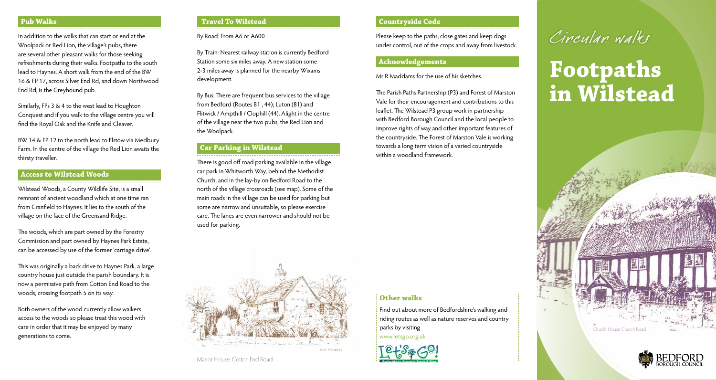## **Pub Walks**

In addition to the walks that can start or end at the Woolpack or Red Lion, the village's pubs, there are several other pleasant walks for those seeking refreshments during their walks. Footpaths to the south lead to Haynes. A short walk from the end of the BW 16 & FP 17, across Silver End Rd, and down Northwood End Rd, is the Greyhound pub.

Similarly, FPs 3 & 4 to the west lead to Houghton Conquest and if you walk to the village centre you will find the Royal Oak and the Knife and Cleaver.

BW 14 & FP 12 to the north lead to Elstow via Medbury Farm. In the centre of the village the Red Lion awaits the thirsty traveller.

## **Access to Wilstead Woods**

Wilstead Woods, a County Wildlife Site, is a small remnant of ancient woodland which at one time ran from Cranfield to Haynes. It lies to the south of the village on the face of the Greensand Ridge.

The woods, which are part owned by the Forestry Commission and part owned by Haynes Park Estate, can be accessed by use of the former 'carriage drive'.

This was originally a back drive to Haynes Park. a large country house just outside the parish boundary. It is now a permissive path from Cotton End Road to the woods, crossing footpath 5 on its way.

Both owners of the wood currently allow walkers access to the woods so please treat this wood with care in order that it may be enjoyed by many generations to come.

#### **Travel To Wilstead**

#### By Road: From A6 or A600

By Train: Nearest railway station is currently Bedford Station some six miles away. A new station some 2-3 miles away is planned for the nearby Wixams development.

By Bus: There are frequent bus services to the village from Bedford (Routes 81 , 44); Luton (81) and Flitwick / Ampthill / Clophill (44). Alight in the centre of the village near the two pubs, the Red Lion and the Woolpack.

# **Car Parking in Wilstead**

There is good off road parking available in the village car park in Whitworth Way, behind the Methodist Church, and in the lay-by on Bedford Road to the north of the village crossroads (see map). Some of the main roads in the village can be used for parking but some are narrow and unsuitable, so please exercise care. The lanes are even narrower and should not be used for parking.



### **Countryside Code**

Please keep to the paths, close gates and keep dogs under control, out of the crops and away from livestock.

## **Acknowledgements**

Mr R Maddams for the use of his sketches.

The Parish Paths Partnership (P3) and Forest of Marston Vale for their encouragement and contributions to this leaflet. The Wilstead P3 group work in partnership with Bedford Borough Council and the local people to improve rights of way and other important features of the countryside. The Forest of Marston Vale is working towards a long term vision of a varied countryside within a woodland framework.

#### **Other walks**

Find out about more of Bedfordshire's walking and riding routes as well as nature reserves and country parks by visiting www.letsgo.org.uk





# **Footpaths in Wilstead**



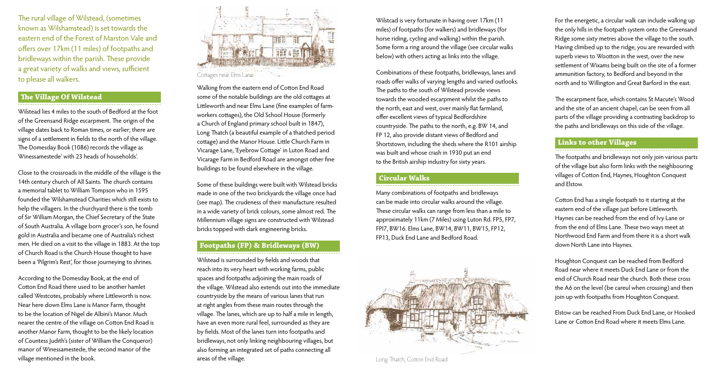The rural village of Wilstead, (sometimes known as Wilshamstead) is set towards the eastern end of the Forest of Marston Vale and offers over 17km (11 miles) of footpaths and bridleways within the parish. These provide a great variety of walks and views, sufficient to please all walkers.

#### **The Village Of Wilstead**

Wilstead lies 4 miles to the south of Bedford at the foot of the Greensand Ridge escarpment. The origin of the village dates back to Roman times, or earlier; there are signs of a settlement in fields to the north of the village. The Domesday Book (1086) records the village as Winessamestede' with 23 heads of households'.

Close to the crossroads in the middle of the village is the 14th century church of All Saints. The church contains a memorial tablet to William Tompson who in 1595 founded the Wilshamstead Charities which still exists to help the villagers. In the churchyard there is the tomb of Sir William Morgan, the Chief Secretary of the State of South Australia. A village born grocer's son, he found gold in Australia and became one of Australia's richest men. He died on a visit to the village in 1883. At the top of Church Road is the Church House thought to have been a 'Pilgrim's Rest', for those journeying to shrines.

According to the Domesday Book, at the end of Cotton End Road there used to be another hamlet called Westcotes, probably where Littleworth is now. Near here down Elms Lane is Manor Farm, thought to be the location of Nigel de Albini's Manor. Much nearer the centre of the village on Cotton End Road is another Manor Farm, thought to be the likely location of Countess Judith's (sister of William the Conqueror) manor of Winessamestede, the second manor of the village mentioned in the book.



Walking from the eastern end of Cotton End Road some of the notable buildings are the old cottages at Littleworth and near Elms Lane (fine examples of farmworkers cottages), the Old School House (formerly a Church of England primary school built in 1847), Long Thatch (a beautiful example of a thatched period cottage) and the Manor House. Little Church Farm in Vicarage Lane, 'Eyebrow Cottage' in Luton Road and Vicarage Farm in Bedford Road are amongst other fine buildings to be found elsewhere in the village.

Some of these buildings were built with Wilstead bricks made in one of the two brickyards the village once had (see map). The crudeness of their manufacture resulted in a wide variety of brick colours, some almost red. The Millennium village signs are constructed with Wilstead bricks topped with dark engineering bricks.

#### **Footpaths (FP) & Bridleways (BW)**

Wilstead is surrounded by fields and woods that reach into its very heart with working farms, public spaces and footpaths adjoining the main roads of the village. Wilstead also extends out into the immediate countryside by the means of various lanes that run at right angles from these main routes through the village. The lanes, which are up to half a mile in length, have an even more rural feel, surrounded as they are by fields. Most of the lanes turn into footpaths and bridleways, not only linking neighbouring villages, but also forming an integrated set of paths connecting all areas of the village.

Wilstcad is very fortunate in having over 17km (11 miles) of footpaths (for walkers) and bridleways (for horse riding, cycling and walking) within the parish. Some form a ring around the village (see circular walks below) with others acting as links into the village.

Combinations of these footpaths, bridleways, lanes and roads offer walks of varying lengths and varied outlooks. The paths to the south of Wilstead provide views towards the wooded escarpment whilst the paths to the north, east and west, over mainly flat farmland, offer excellent views of typical Bedfordshire countryside. The paths to the north, e.g. BW 14, and FP 12, also provide distant views of Bedford and Shortstown, including the sheds where the R101 airship was built and whose crash in 1930 put an end to the British airship industry for sixty years.

#### **Circular Walks**

Many combinations of footpaths and bridleways can be made into circular walks around the village. These circular walks can range from less than a mile to approximately 11km (7 Miles) using Luton Rd. FP5, FP7, FPI7, BW16. Elms Lane, BW14, BW11, BW15, FP12, FP13, Duck End Lane and Bedford Road.



Long Thatch, Cotton End Road

For the energetic, a circular walk can include walking up the only hills in the footpath system onto the Greensand Ridge some sixty metres above the village to the south. Having climbed up to the ridge, you are rewarded with superb views to Wootton in the west, over the new settlement of Wixams being built on the site of a former ammunition factory, to Bedford and beyond in the north and to Willington and Great Barford in the east.

The escarpment face, which contains St Macute's Wood and the site of an ancient chapel, can be seen from all parts of the village providing a contrasting backdrop to the paths and bridleways on this side of the village.

## **Links to other Villages**

The footpaths and bridleways not only join various parts of the village but also form links with the neighbouring villages of Cotton End, Haynes, Houghton Conquest and Elstow.

Cotton End has a single footpath to it starting at the eastern end of the village just before Littleworth. Haynes can be reached from the end of Ivy Lane or from the end of Elms Lane. These two ways meet at Northwood End Farm and from there it is a short walk down North Lane into Haynes.

Houghton Conquest can be reached from Bedford Road near where it meets Duck End Lane or from the end of Church Road near the church. Both these cross the A6 on the level (be careul when crossing) and then join up with footpaths from Houghton Conquest.

Elstow can be reached From Duck End Lane, or Hooked Lane or Cotton End Road where it meets Elms Lane.